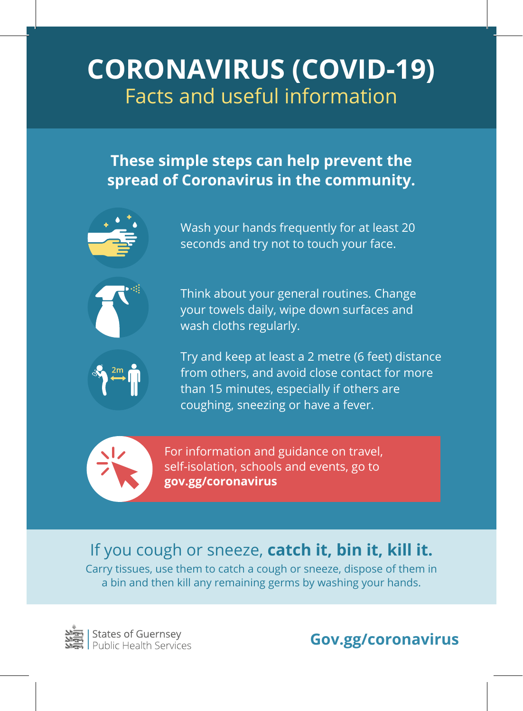# **CORONAVIRUS (COVID-19)** Facts and useful information

#### **These simple steps can help prevent the spread of Coronavirus in the community.**



Wash your hands frequently for at least 20 seconds and try not to touch your face.



Think about your general routines. Change your towels daily, wipe down surfaces and wash cloths regularly.



Try and keep at least a 2 metre (6 feet) distance from others, and avoid close contact for more than 15 minutes, especially if others are coughing, sneezing or have a fever.



For information and guidance on travel, self-isolation, schools and events, go to **gov.gg/coronavirus**

### If you cough or sneeze, **catch it, bin it, kill it.**

Carry tissues, use them to catch a cough or sneeze, dispose of them in a bin and then kill any remaining germs by washing your hands.

**States of Guernsey**<br>Public Health Services

**Gov.gg/coronavirus**